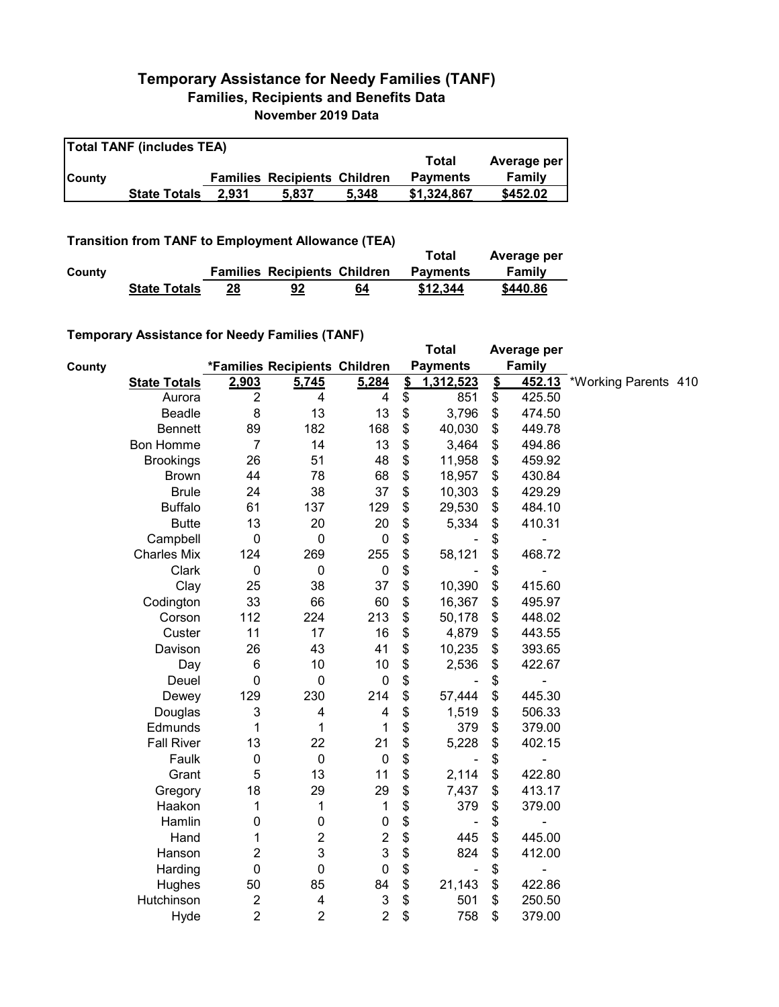## **Temporary Assistance for Needy Families (TANF) Families, Recipients and Benefits Data November 2019 Data**

| <b>Total TANF (includes TEA)</b> |                     |       |                                     |       |                 |             |  |  |
|----------------------------------|---------------------|-------|-------------------------------------|-------|-----------------|-------------|--|--|
|                                  |                     |       |                                     |       | Total           | Average per |  |  |
| <b>County</b>                    |                     |       | <b>Families Recipients Children</b> |       | <b>Payments</b> | Family      |  |  |
|                                  | <b>State Totals</b> | 2.931 | 5.837                               | 5.348 | \$1.324.867     | \$452.02    |  |  |

**Transition from TANF to Employment Allowance (TEA)**

|        |                     |                                     |    | Total           | Average per |
|--------|---------------------|-------------------------------------|----|-----------------|-------------|
| County |                     | <b>Families Recipients Children</b> |    | <b>Payments</b> | Family      |
|        | <b>State Totals</b> | 92                                  | 64 | \$12,344        | \$440.86    |

## **Temporary Assistance for Needy Families (TANF)**

|                     | $\frac{1}{2}$ , the condition of $\frac{1}{2}$ , $\frac{1}{2}$ , $\frac{1}{2}$ , $\frac{1}{2}$ , $\frac{1}{2}$ , $\frac{1}{2}$ , $\frac{1}{2}$ , $\frac{1}{2}$ |                               |                           | <b>Total</b>  |                              | Average per               |        |                      |  |
|---------------------|----------------------------------------------------------------------------------------------------------------------------------------------------------------|-------------------------------|---------------------------|---------------|------------------------------|---------------------------|--------|----------------------|--|
| County              |                                                                                                                                                                | *Families Recipients Children |                           |               | <b>Payments</b>              |                           | Family |                      |  |
| <b>State Totals</b> | 2,903                                                                                                                                                          | 5,745                         | 5,284                     | $\frac{2}{3}$ | 1,312,523                    | $\mathbf{\underline{\$}}$ | 452.13 | *Working Parents 410 |  |
| Aurora              | $\overline{c}$                                                                                                                                                 | 4                             | 4                         | \$            | 851                          | \$                        | 425.50 |                      |  |
| <b>Beadle</b>       | 8                                                                                                                                                              | 13                            | 13                        | \$            | 3,796                        | \$                        | 474.50 |                      |  |
| Bennett             | 89                                                                                                                                                             | 182                           | 168                       | \$            | 40,030                       | \$                        | 449.78 |                      |  |
| <b>Bon Homme</b>    | $\overline{7}$                                                                                                                                                 | 14                            | 13                        | \$            | 3,464                        | \$                        | 494.86 |                      |  |
| <b>Brookings</b>    | 26                                                                                                                                                             | 51                            | 48                        | \$            | 11,958                       | \$                        | 459.92 |                      |  |
| <b>Brown</b>        | 44                                                                                                                                                             | 78                            | 68                        | \$            | 18,957                       | \$                        | 430.84 |                      |  |
| <b>Brule</b>        | 24                                                                                                                                                             | 38                            | 37                        | \$            | 10,303                       | \$                        | 429.29 |                      |  |
| <b>Buffalo</b>      | 61                                                                                                                                                             | 137                           | 129                       | \$            | 29,530                       | \$                        | 484.10 |                      |  |
| <b>Butte</b>        | 13                                                                                                                                                             | 20                            | 20                        | \$            | 5,334                        | \$                        | 410.31 |                      |  |
| Campbell            | $\mathbf 0$                                                                                                                                                    | $\mathbf 0$                   | $\boldsymbol{0}$          | \$            |                              | \$                        |        |                      |  |
| <b>Charles Mix</b>  | 124                                                                                                                                                            | 269                           | 255                       | \$            | 58,121                       | \$                        | 468.72 |                      |  |
| Clark               | $\boldsymbol{0}$                                                                                                                                               | $\mathbf 0$                   | $\pmb{0}$                 | \$            |                              | \$                        |        |                      |  |
| Clay                | 25                                                                                                                                                             | 38                            | 37                        | \$            | 10,390                       | \$                        | 415.60 |                      |  |
| Codington           | 33                                                                                                                                                             | 66                            | 60                        | \$            | 16,367                       | \$                        | 495.97 |                      |  |
| Corson              | 112                                                                                                                                                            | 224                           | 213                       | \$            | 50,178                       | \$                        | 448.02 |                      |  |
| Custer              | 11                                                                                                                                                             | 17                            | 16                        | \$            | 4,879                        | \$                        | 443.55 |                      |  |
| Davison             | 26                                                                                                                                                             | 43                            | 41                        | \$            | 10,235                       | \$                        | 393.65 |                      |  |
| Day                 | $\,6$                                                                                                                                                          | 10                            | 10                        | \$            | 2,536                        | \$                        | 422.67 |                      |  |
| Deuel               | $\mathbf 0$                                                                                                                                                    | $\mathbf 0$                   | $\pmb{0}$                 | \$            |                              | \$                        |        |                      |  |
| Dewey               | 129                                                                                                                                                            | 230                           | 214                       | \$            | 57,444                       | \$                        | 445.30 |                      |  |
| Douglas             | 3                                                                                                                                                              | $\overline{4}$                | 4                         | \$            | 1,519                        | \$                        | 506.33 |                      |  |
| Edmunds             | 1                                                                                                                                                              | 1                             | 1                         | \$            | 379                          | \$                        | 379.00 |                      |  |
| <b>Fall River</b>   | 13                                                                                                                                                             | 22                            | 21                        | \$            | 5,228                        | \$                        | 402.15 |                      |  |
| Faulk               | $\mathbf 0$                                                                                                                                                    | $\mathbf 0$                   | $\pmb{0}$                 | \$            |                              | \$                        |        |                      |  |
| Grant               | 5                                                                                                                                                              | 13                            | 11                        | \$            | 2,114                        | \$                        | 422.80 |                      |  |
| Gregory             | 18                                                                                                                                                             | 29                            | 29                        | \$            | 7,437                        | \$                        | 413.17 |                      |  |
| Haakon              | 1                                                                                                                                                              | 1                             | 1                         | \$            | 379                          | \$                        | 379.00 |                      |  |
| Hamlin              | 0                                                                                                                                                              | $\mathbf 0$                   | 0                         | \$            |                              | \$                        |        |                      |  |
| Hand                | 1                                                                                                                                                              | $\overline{c}$                | $\boldsymbol{2}$          | \$            | 445                          | \$                        | 445.00 |                      |  |
| Hanson              | 2                                                                                                                                                              | 3                             | $\mathbf{3}$              | \$            | 824                          | \$                        | 412.00 |                      |  |
| Harding             | $\mathbf 0$                                                                                                                                                    | $\mathbf 0$                   | 0                         | \$            | $\qquad \qquad \blacksquare$ | \$                        | ÷      |                      |  |
| Hughes              | 50                                                                                                                                                             | 85                            | 84                        | \$            | 21,143                       | \$                        | 422.86 |                      |  |
| Hutchinson          | $\overline{c}$                                                                                                                                                 | 4                             | $\ensuremath{\mathsf{3}}$ | \$            | 501                          | \$                        | 250.50 |                      |  |
| Hyde                | $\overline{2}$                                                                                                                                                 | 2                             | $\overline{c}$            | \$            | 758                          | \$                        | 379.00 |                      |  |
|                     |                                                                                                                                                                |                               |                           |               |                              |                           |        |                      |  |